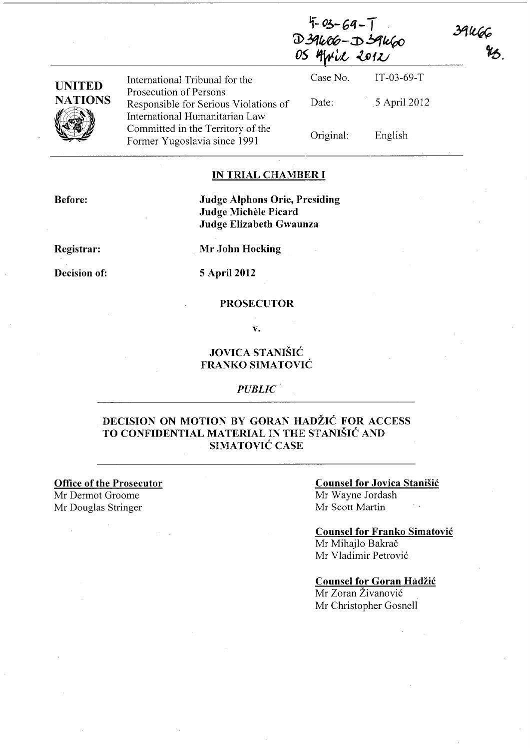| $5 - 69 - 7$  |  |
|---------------|--|
| D39406-D59460 |  |
| OS April 2012 |  |

39kG6<br>#3.

|                                                  | International Tribunal for the                                          | Case No.  | $IT-03-69-T$ |  |
|--------------------------------------------------|-------------------------------------------------------------------------|-----------|--------------|--|
| <b>UNITED</b><br><b>NATIONS</b><br>$\mathscr{C}$ | Prosecution of Persons                                                  | Date:     | 5 April 2012 |  |
|                                                  | Responsible for Serious Violations of<br>International Humanitarian Law |           |              |  |
|                                                  | Committed in the Territory of the<br>Former Yugoslavia since 1991       | Original: | English      |  |

### IN TRIAL CHAMBER I

Judge Alphons Orie, Presiding Judge Michele Picard Judge Elizabeth Gwaunza

Registrar:

Before:

Decision of: 5 April 2012

Mr John Hocking

#### PROSECUTOR

v.

### JOVICA STANISIC FRANKO SIMATOVIC

#### *PUBLIC·*

### DECISION ON MOTION BY GORAN HADŽIĆ FOR ACCESS TO CONFIDENTIAL MATERIAL IN THE STANISIC AND SIMATOVIĆ CASE

### Office of the Prosecutor

Mr Dermot Groome Mr Douglas Stringer

#### Counsel for Jovica Stanisic Mr Wayne lordash

Mr Scott Martin

### Counsel for Franko Simatovic

Mr Mihajlo Bakrač Mr Vladimir Petrovic

#### Counsel for Goran Hadžić

Mr Zoran Zivanovic Mr Christopher Gosnell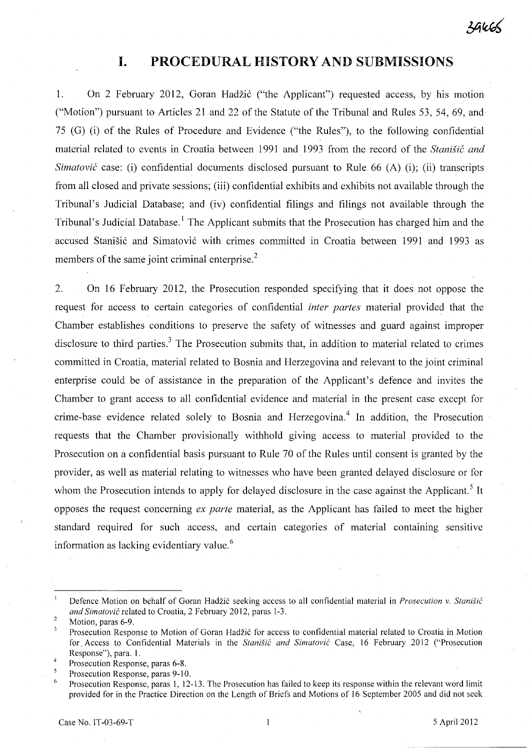$39465$ 

## **I. PROCEDURAL HISTORY AND SUBMISSIONS**

1. On 2 February 2012, Goran Hadžić ("the Applicant") requested access, by his motion ("Motion") pursuant to Articles 21 and 22 of the Statute of the Tribunal and Rules 53, 54, 69, and 75 (G) (i) of the Rules of Procedure and Evidence ("the Rules"), to the following confidential material related to events in Croatia between 1991 and 1993 from the record of the *Stanisic and Simatovic* case: (i) confidential documents disclosed pursuant to Rule 66 (A) (i); (ii) transcripts from all closed and private sessions; (iii) confidential exhibits and exhibits not available through the Tribunal's Judicial Database; and (iv) confidential filings and filings not available through the Tribunal's Judicial Database.<sup>1</sup> The Applicant submits that the Prosecution has charged him and the accused Stanišić and Simatović with crimes committed in Croatia between 1991 and 1993 as members of the same joint criminal enterprise. $<sup>2</sup>$ </sup>

2. On 16 February 2012, the Prosecution responded specifying that it does not oppose the request for access to certain categories of confidential *inter partes* material provided that the Chamber establishes conditions to preserve the safety of witnesses and guard against improper disclosure to third parties.<sup>3</sup> The Prosecution submits that, in addition to material related to crimes committed in Croatia, material related to Bosnia and Herzegovina and relevant to the joint criminal enterprise could be of assistance in the preparation of the Applicant's defence and invites the Chamber to grant access to all confidential evidence and material in the present case except for crime-base evidence related solely to Bosnia and Herzegovina.<sup>4</sup> In addition, the Prosecution requests that the Chamber provisionally withhold giving access to material provided to the Prosecution on a confidential basis pursuant to Rule 70 of the Rules until consent is granted by the provider, as well as material relating to witnesses who have been granted delayed disclosure or for whom the Prosecution intends to apply for delayed disclosure in the case against the Applicant.<sup>5</sup> It opposes the request concerning *ex parte* material, as the Applicant has failed to meet the higher standard required for such access, and certain categories of material containing sensitive information as lacking evidentiary value. <sup>6</sup>

Defence Motion on behalf of Goran Hadzi6 seeking access to all confidential material in *Prosecution* v. *Stanisic and Simatovic* related to Croatia, 2 February 2012, paras 1-3.

 $\overline{2}$ Motion, paras 6-9.

 $\overline{3}$ Prosecution Response to Motion of Goran Hadžić for access to confidential material related to Croatia in Motion for. Access to Confidential Materials in the *Stanisic and Simatovic* Case, 16 February 2012 ("Prosecution Response"), para. 1.

 $\overline{4}$ Prosecution Response, paras 6-8.

<sup>5</sup> Prosecution Response, paras 9-10.

<sup>6</sup> Prosecution Response, paras 1, 12-13. The Prosecution has failed to keep its response within the relevant word limit provided for in the Practice Direction on the Length of Briefs and Motions of 16 September 2005 and did not seek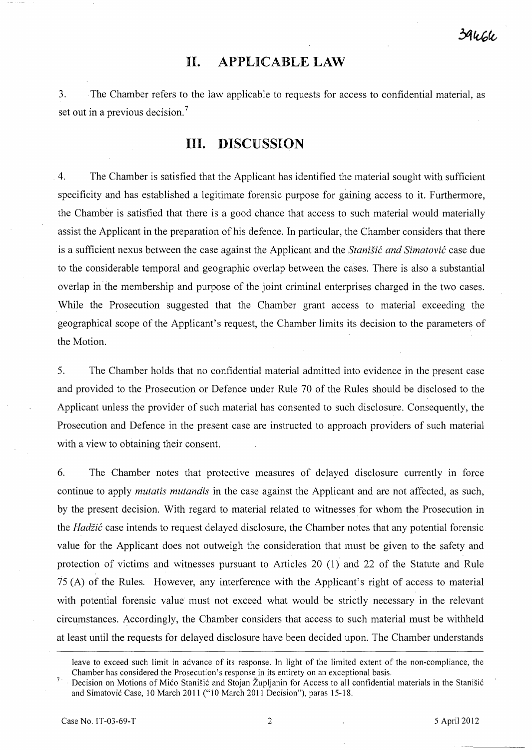## **II. APPLICABLE LAW**

3. The Chamber refers to the law applicable to requests for access to confidential material, as set out in a previous decision.<sup>7</sup>

# **III. DISCUSSION**

4. The Chamber is satisfied that the Applicant has identified the material sought with sufficient specificity and has established a legitimate forensic purpose for gaining access to it. Furthermore, the Chamber is satisfied that there is a good chance that access to such material would materially assist the Applicant in the preparation of his defence. In particular, the Chamber considers that there is a sufficient nexus between the case against the Applicant and the *Stanisic and Simatovic* case due to the considerable temporal and geographic overlap between the cases. There is also a substantial overlap in the membership and purpose of the joint criminal enterprises charged in the two cases. While the Prosecution suggested that the Chamber grant access to material exceeding the geographical scope of the Applicant's request, the Chamber limits its decision to the parameters of the Motion.

5. The Chamber holds that no confidential material admitted into evidence in the present case and provided to the Prosecution or Defence under Rule 70 of the Rules should be disclosed to the Applicant unless the provider of such material has consented to such disclosure. Consequently, the Prosecution and Defence in the present case are instructed to approach providers of such material with a view to obtaining their consent.

6. The Chamber notes that protective measures of delayed disclosure currently in force continue to apply *mutatis mutandis* in the case against the Applicant and are not affected, as such, by the present decision. With regard to material related to witnesses for whom the Prosecution in the *Hadiic* case intends to request delayed disclosure, the Chamber notes that any potential forensic value for the Applicant does not outweigh the consideration that must be given to the safety and protection of victims and witnesses pursuant to Articles 20 (1) and 22 of the Statute and Rule 75 (A) of the Rules. However, any interference with the Applicant's right of access to material with potential forensic value must not exceed what would be strictly necessary in the relevant circumstances. Accordingly, the Chamber considers that access to such material must be withheld at least until the requests for delayed disclosure have been decided upon. The Chamber understands

leave to exceed such limit in advance of its response. In light of the limited extent of the non-compliance, the Chamber has considered the Prosecution's response in its entirety on an exceptional basis.

 $\boldsymbol{7}$ Decision on Motions of Mićo Stanišić and Stojan Župljanin for Access to all confidential materials in the Stanišić and Simatović Case, 10 March 2011 ("10 March 2011 Decision"), paras 15-18.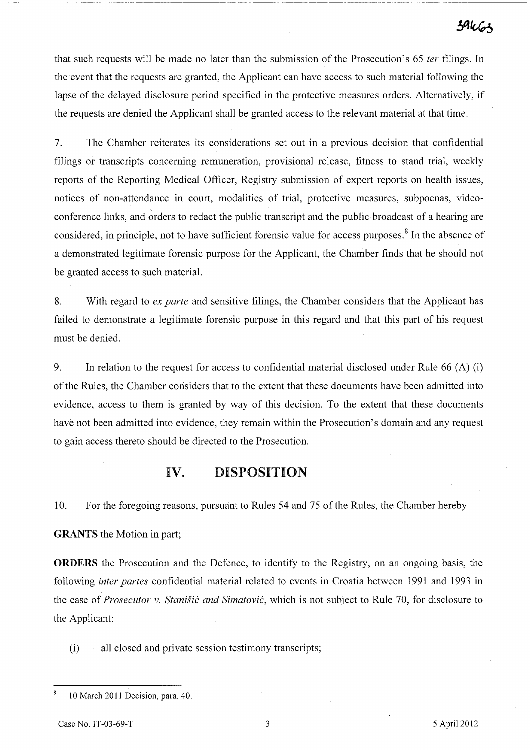that such requests will be made no later than the submission of the Prosecution's 65 *ter* filings. In the event that the requests are granted, the Applicant can have access to such material following the lapse of the delayed disclosure period specified in the protective measures orders. Alternatively, if the requests are denied the Applicant shall be granted access to the relevant material at that time.

7. The Chamber reiterates its considerations set out in a previous decision that confidential filings or transcripts concerning remuneration, provisional release, fitness to stand trial, weekly reports of the Reporting Medical Officer, Registry submission of expert reports on health issues, notices of non-attendance in court, modalities of trial, protective measures, subpoenas, videoconference links, and orders to redact the public transcript and the public broadcast of a hearing are considered, in principle, not to have sufficient forensic value for access purposes. 8 In the absence of a demonstrated legitimate forensic purpose for the Applicant, the Chamber finds that he should not be granted access to such material.

8. With regard to *ex parte* and sensitive filings, the Chamber considers that the Applicant has failed to demonstrate a legitimate forensic purpose in this regard and that this part of his request must be denied.

9. In relation to the request for access to confidential material disclosed under Rule 66 (A) (i) of the Rules, the Chamber considers that to the extent that these documents have been admitted into evidence, access to them is granted by way of this decision. To the extent that these documents have not been admitted into evidence, they remain within the Prosecution's domain and any request to gain access thereto should be directed to the Prosecution.

### **IV. DISPOSITION**

10. For the foregoing reasons, pursuant to Rules 54 and 75 of the Rules, the Chamber hereby

**GRANTS** the Motion in part;

**ORDERS** the Prosecution and the Defence, to identify to the Registry, on an ongoing basis, the following *inter partes* confidential material related to events in Croatia between 1991 and 1993 in the case of *Prosecutor v. Stanišić and Simatović*, which is not subject to Rule 70, for disclosure to the Applicant:

(i) all closed and private session testimony transcripts;

 $\overline{\mathbf{8}}$ 10 March 2011 Decision, para. 40.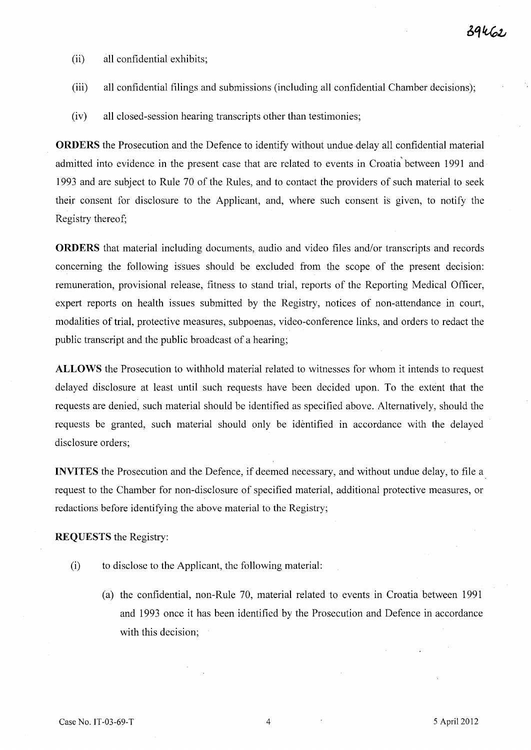- (ii) all confidential exhibits;
- (iii) all confidential filings and submissions (including all confidential Chamber decisions);
- (iv) all closed-session hearing transcripts other than testimonies;

**ORDERS** the Prosecution and the Defence to identify without undue delay all confidential material admitted into evidence in the present case that are related to events in Croatia' between 1991 and 1993 and are subject to Rule 70 of the Rules, and to contact the providers of such material to seek their consent for disclosure to the Applicant, and, where such consent is given, to notify the Registry thereof;

**ORDERS** that material including documents, audio and video files and/or transcripts and records concerning the following issues should be excluded from the scope of the present decision: remuneration, provisional release, fitness to stand trial, reports of the Reporting Medical Officer, expert reports on health issues submitted by the Registry, notices of non-attendance in court, modalities of trial, protective measures, subpoenas, video-conference links, and orders to redact the public transcript and the public broadcast of a hearing;

**ALLOWS** the Prosecution to withhold material related to witnesses for whom it intends to request delayed disclosure at least until such requests have been decided upon. To the extent that the requests are denied, such material should be identified as specified above. Alternatively, should the requests be granted, such material should only be identified in accordance with the delayed disclosure orders;

**INVITES** the Prosecution and the Defence, if deemed necessary, and without undue delay, to file a request to the Chamber for non-disclosure of specified material, additional protective measures, or redactions before identifying the above material to the Registry;

**REQUESTS** the Registry:

- (i) to disclose to the Applicant, the following material:
	- (a) the confidential, non-Rule 70, material related to events in Croatia between 1991 and 1993 once it has been identified by the Prosecution and Defence in accordance with this decision;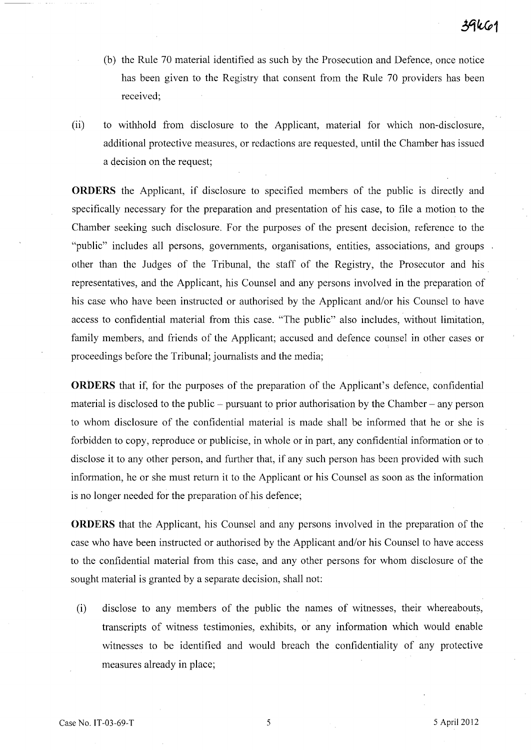- (b) the Rule 70 material identified as such by the Prosecution and Defence, once notice has been given to the Registry that consent from the Rule 70 providers has been received;
- (ii) to withhold from disclosure to the Applicant, material for which non-disclosure, additional protective measures, or redactions are requested, until the Chamber has issued a decision on the request;

**ORDERS** the Applicant, if disclosure to specified members of the public is directly and specifically necessary for the preparation and presentation of his case, to file a motion to the Chamber seeking such disclosure. For the purposes of the present decision, reference to the "public" includes all persons, governments, organisations, entities, associations, and groups other than the Judges of the Tribunal, the staff of the Registry, the Prosecutor and his representatives, and the Applicant, his Counsel and any persons involved in the preparation of his case who have been instructed or authorised by the Applicant and/or his Counsel to have access to confidential material from this case. "The public" also includes, without limitation, family members, and friends of the Applicant; accused and defence counsel in other cases or proceedings before the Tribunal; journalists and the media;

**ORDERS** that if, for the purposes of the preparation of the Applicant's defence, confidential material is disclosed to the public  $-$  pursuant to prior authorisation by the Chamber  $-$  any person to whom disclosure of the confidential material is made shall be informed that he or she is forbidden to copy, reproduce or publicise, in whole or in part, any confidential information or to disclose it to any other person, and further that, if any such person has been provided with such information, he or she must return it to the Applicant or his Counsel as soon as the information is no longer needed for the preparation of his defence;

**ORDERS** that the Applicant, his Counsel and any persons involved in the preparation of the case who have been instructed or authorised by the Applicant and/or his Counsel to have access to the confidential material from this case, and any other persons for whom disclosure of the sought material is granted by a separate decision, shall not:

(i) disclose to any members of the public the names of witnesses, their whereabouts, transcripts of witness testimonies, exhibits, or any information which would enable witnesses to be identified and would breach the confidentiality of any protective measures already in place;